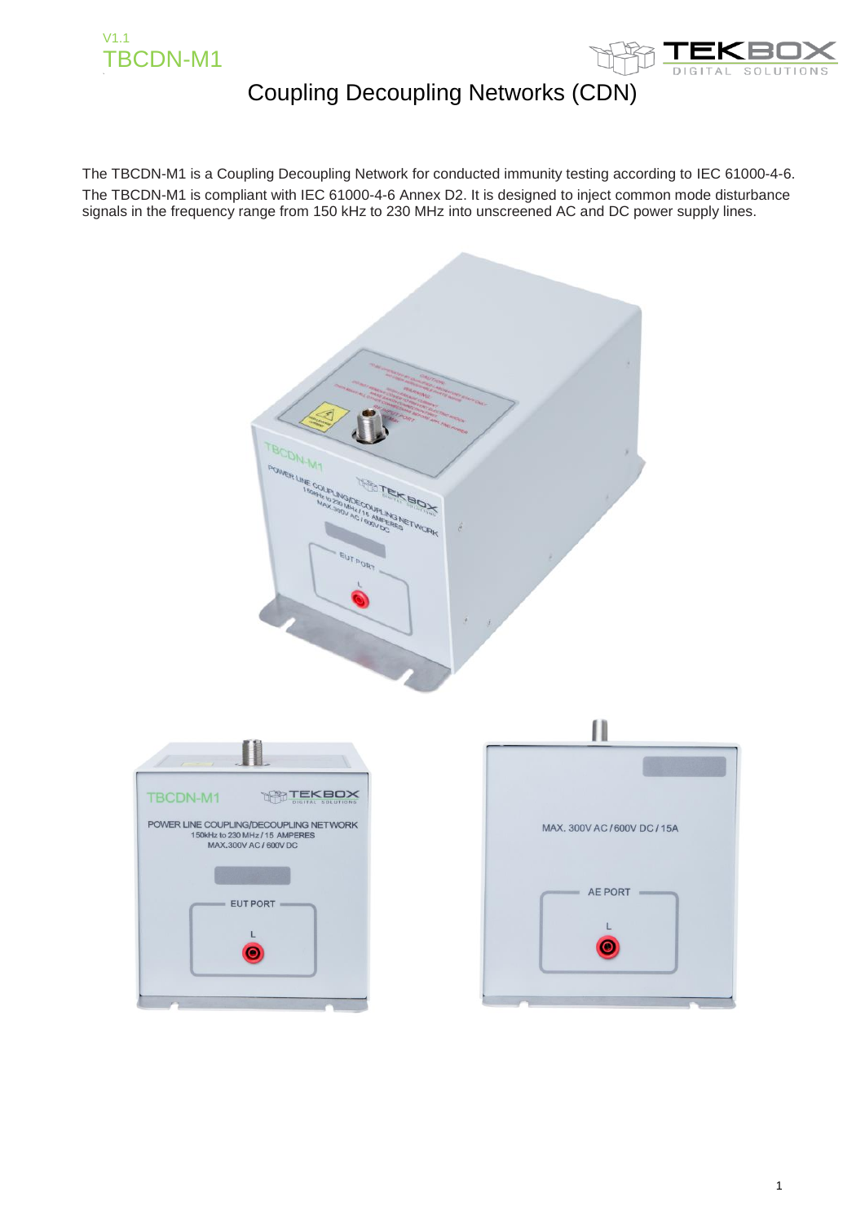



The TBCDN-M1 is a Coupling Decoupling Network for conducted immunity testing according to IEC 61000-4-6. The TBCDN-M1 is compliant with IEC 61000-4-6 Annex D2. It is designed to inject common mode disturbance signals in the frequency range from 150 kHz to 230 MHz into unscreened AC and DC power supply lines.

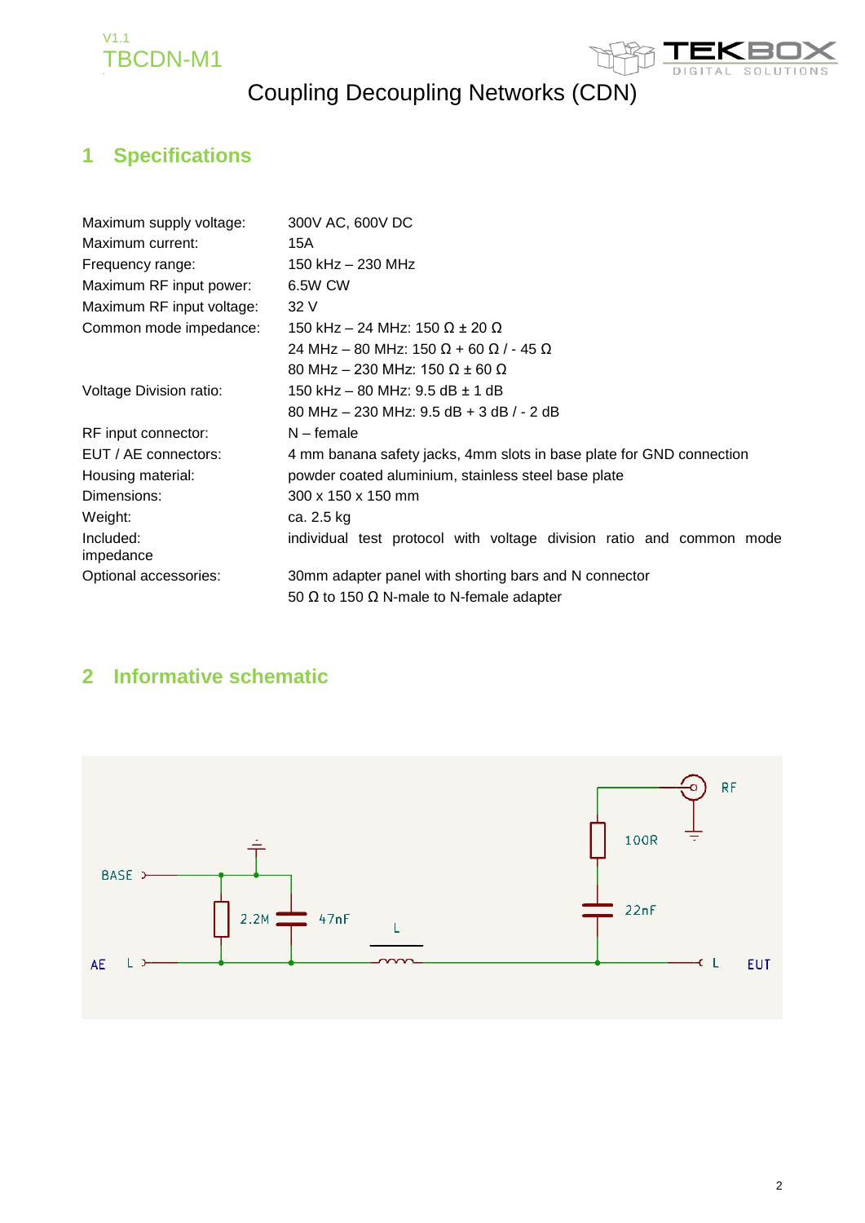



## **1 Specifications**

| Maximum supply voltage:   | 300V AC, 600V DC                                                     |  |  |  |
|---------------------------|----------------------------------------------------------------------|--|--|--|
| Maximum current:          | 15A                                                                  |  |  |  |
| Frequency range:          | 150 kHz – 230 MHz                                                    |  |  |  |
| Maximum RF input power:   | 6.5W CW                                                              |  |  |  |
| Maximum RF input voltage: | 32 V                                                                 |  |  |  |
| Common mode impedance:    | 150 kHz – 24 MHz: 150 Ω ± 20 Ω                                       |  |  |  |
|                           | 24 MHz – 80 MHz: 150 Ω + 60 Ω / - 45 Ω                               |  |  |  |
|                           | 80 MHz – 230 MHz: 150 Ω ± 60 Ω                                       |  |  |  |
| Voltage Division ratio:   | 150 kHz – 80 MHz: 9.5 dB ± 1 dB                                      |  |  |  |
|                           | 80 MHz $-$ 230 MHz: 9.5 dB + 3 dB $/$ - 2 dB                         |  |  |  |
| RF input connector:       | $N$ – female                                                         |  |  |  |
| EUT / AE connectors:      | 4 mm banana safety jacks, 4mm slots in base plate for GND connection |  |  |  |
| Housing material:         | powder coated aluminium, stainless steel base plate                  |  |  |  |
| Dimensions:               | 300 x 150 x 150 mm                                                   |  |  |  |
| Weight:                   | ca. 2.5 kg                                                           |  |  |  |
| Included:<br>impedance    | individual test protocol with voltage division ratio and common mode |  |  |  |
| Optional accessories:     | 30mm adapter panel with shorting bars and N connector                |  |  |  |
|                           | 50 $\Omega$ to 150 $\Omega$ N-male to N-female adapter               |  |  |  |

### **2 Informative schematic**

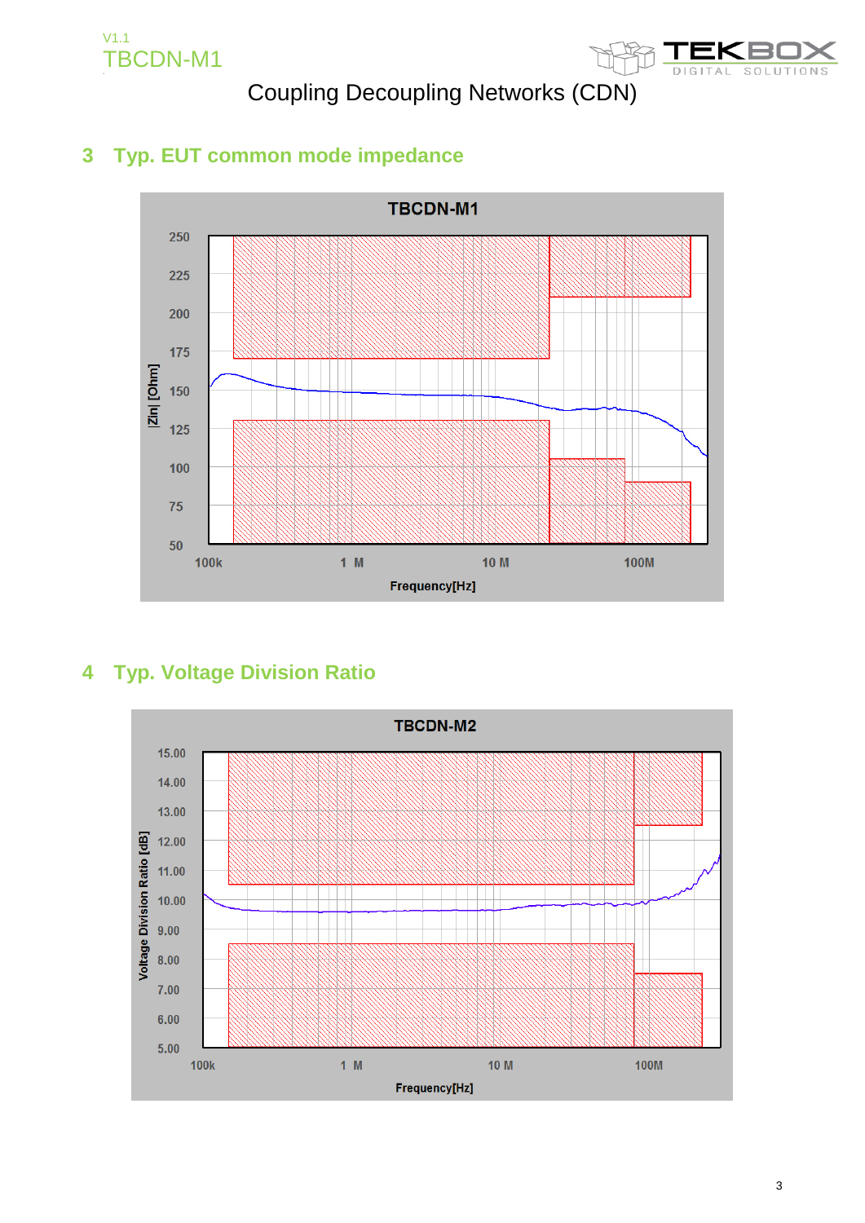



## **3 Typ. EUT common mode impedance**



## **4 Typ. Voltage Division Ratio**

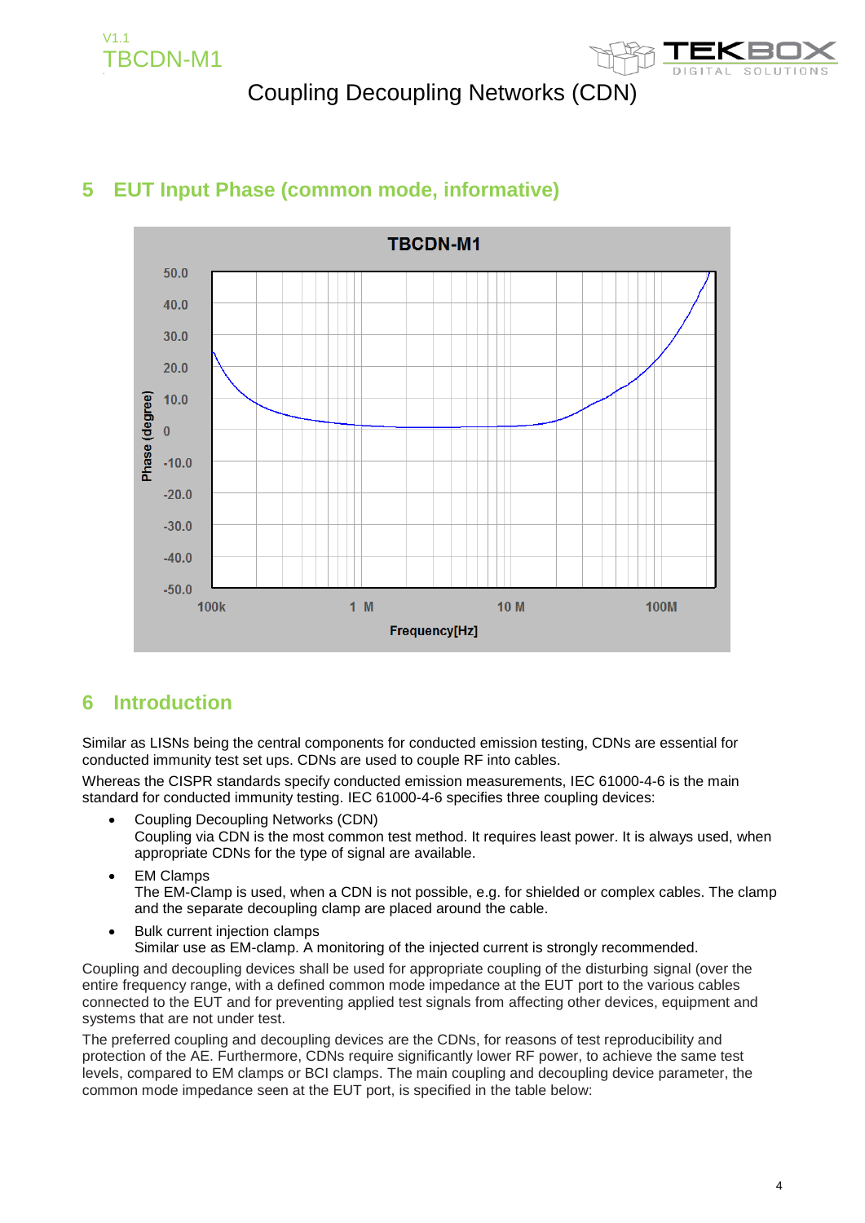



### **5 EUT Input Phase (common mode, informative)**

### **6 Introduction**

Similar as LISNs being the central components for conducted emission testing, CDNs are essential for conducted immunity test set ups. CDNs are used to couple RF into cables.

Whereas the CISPR standards specify conducted emission measurements, IEC 61000-4-6 is the main standard for conducted immunity testing. IEC 61000-4-6 specifies three coupling devices:

- Coupling Decoupling Networks (CDN) Coupling via CDN is the most common test method. It requires least power. It is always used, when appropriate CDNs for the type of signal are available.
- EM Clamps The EM-Clamp is used, when a CDN is not possible, e.g. for shielded or complex cables. The clamp and the separate decoupling clamp are placed around the cable.
- Bulk current injection clamps Similar use as EM-clamp. A monitoring of the injected current is strongly recommended.

Coupling and decoupling devices shall be used for appropriate coupling of the disturbing signal (over the entire frequency range, with a defined common mode impedance at the EUT port to the various cables connected to the EUT and for preventing applied test signals from affecting other devices, equipment and systems that are not under test.

The preferred coupling and decoupling devices are the CDNs, for reasons of test reproducibility and protection of the AE. Furthermore, CDNs require significantly lower RF power, to achieve the same test levels, compared to EM clamps or BCI clamps. The main coupling and decoupling device parameter, the common mode impedance seen at the EUT port, is specified in the table below: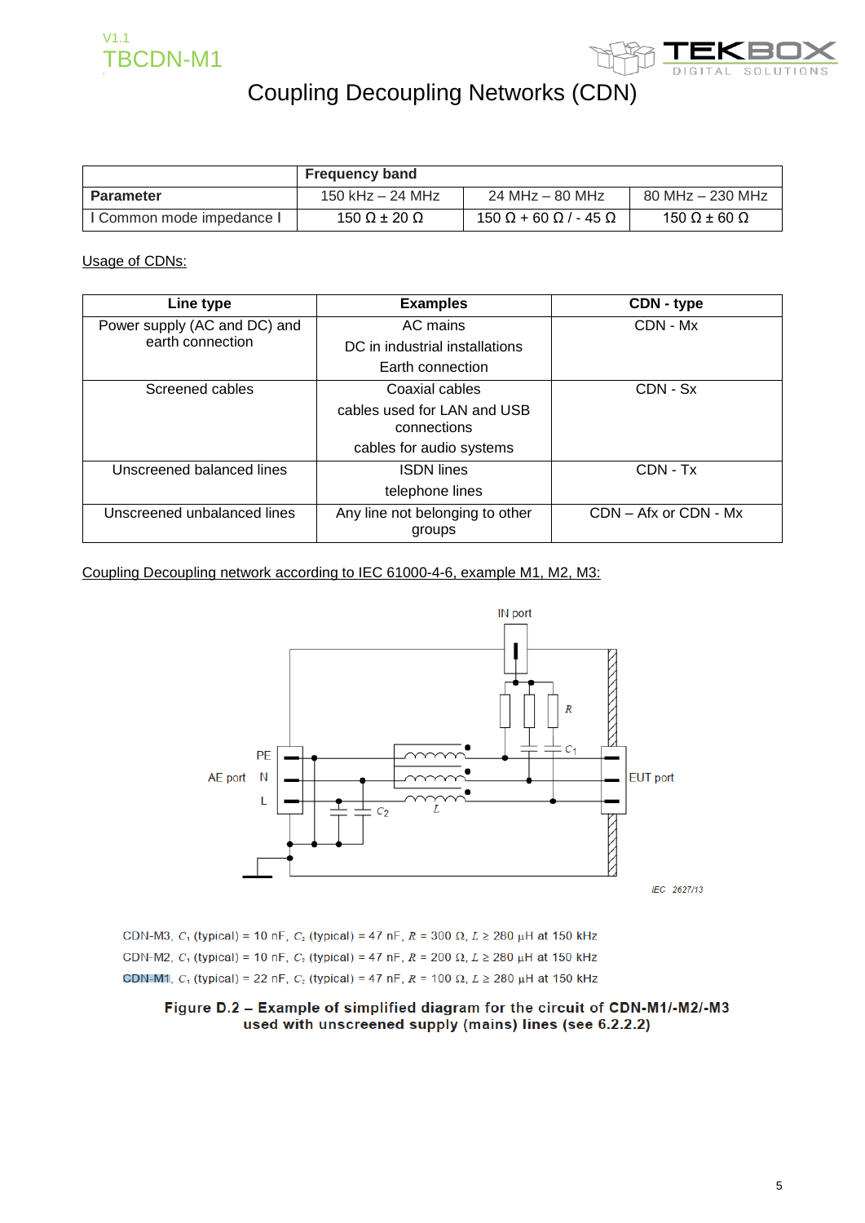



|                           | <b>Frequency band</b> |                                          |                            |
|---------------------------|-----------------------|------------------------------------------|----------------------------|
| Parameter                 | 150 kHz $-$ 24 MHz    | 24 MHz – 80 MHz                          | 80 MHz - 230 MHz           |
| I Common mode impedance I | 150 Ω $\pm$ 20 Ω      | $150 \Omega + 60 \Omega$ / - 45 $\Omega$ | 150 $\Omega$ ± 60 $\Omega$ |

### Usage of CDNs:

| Line type                    | <b>Examples</b>                            | CDN - type                |
|------------------------------|--------------------------------------------|---------------------------|
| Power supply (AC and DC) and | AC mains                                   | CDN - Mx                  |
| earth connection             | DC in industrial installations             |                           |
|                              | Earth connection                           |                           |
| Screened cables              | Coaxial cables                             | CDN - Sx                  |
|                              | cables used for LAN and USB<br>connections |                           |
|                              | cables for audio systems                   |                           |
| Unscreened balanced lines    | <b>ISDN</b> lines                          | CDN - Tx                  |
|                              | telephone lines                            |                           |
| Unscreened unbalanced lines  | Any line not belonging to other<br>groups  | $CDN - Afx$ or $CDN - Mx$ |

### Coupling Decoupling network according to IEC 61000-4-6, example M1, M2, M3:



CDN-M3, C<sub>1</sub> (typical) = 10 nF, C<sub>2</sub> (typical) = 47 nF, R = 300  $\Omega$ , L  $\geq$  280  $\mu$ H at 150 kHz CDN-M2,  $C_1$  (typical) = 10 nF,  $C_2$  (typical) = 47 nF,  $R = 200 \Omega$ ,  $L \ge 280 \mu$ H at 150 kHz CDN-M1,  $C_1$  (typical) = 22 nF,  $C_2$  (typical) = 47 nF,  $R = 100 \Omega$ ,  $L \ge 280 \mu$ H at 150 kHz

#### Figure D.2 - Example of simplified diagram for the circuit of CDN-M1/-M2/-M3 used with unscreened supply (mains) lines (see 6.2.2.2)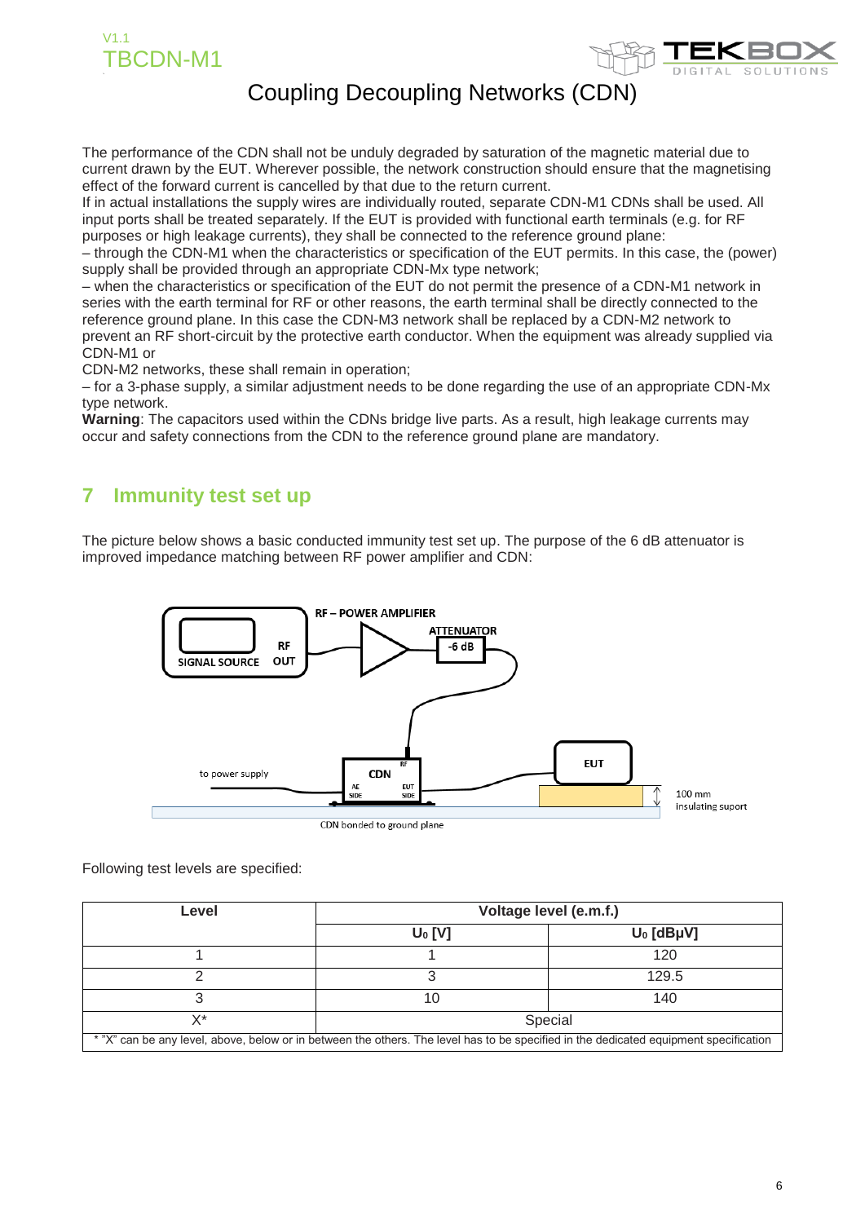



The performance of the CDN shall not be unduly degraded by saturation of the magnetic material due to current drawn by the EUT. Wherever possible, the network construction should ensure that the magnetising effect of the forward current is cancelled by that due to the return current.

If in actual installations the supply wires are individually routed, separate CDN-M1 CDNs shall be used. All input ports shall be treated separately. If the EUT is provided with functional earth terminals (e.g. for RF purposes or high leakage currents), they shall be connected to the reference ground plane:

– through the CDN-M1 when the characteristics or specification of the EUT permits. In this case, the (power) supply shall be provided through an appropriate CDN-Mx type network;

– when the characteristics or specification of the EUT do not permit the presence of a CDN-M1 network in series with the earth terminal for RF or other reasons, the earth terminal shall be directly connected to the reference ground plane. In this case the CDN-M3 network shall be replaced by a CDN-M2 network to prevent an RF short-circuit by the protective earth conductor. When the equipment was already supplied via CDN-M1 or

CDN-M2 networks, these shall remain in operation;

– for a 3-phase supply, a similar adjustment needs to be done regarding the use of an appropriate CDN-Mx type network.

**Warning**: The capacitors used within the CDNs bridge live parts. As a result, high leakage currents may occur and safety connections from the CDN to the reference ground plane are mandatory.

### **7 Immunity test set up**

The picture below shows a basic conducted immunity test set up. The purpose of the 6 dB attenuator is improved impedance matching between RF power amplifier and CDN:



Following test levels are specified:

| Level                                                                                                                                 | Voltage level (e.m.f.) |              |
|---------------------------------------------------------------------------------------------------------------------------------------|------------------------|--------------|
|                                                                                                                                       | $U_0$ [V]              | $U_0$ [dBµV] |
|                                                                                                                                       |                        | 120          |
|                                                                                                                                       |                        | 129.5        |
|                                                                                                                                       |                        | 140          |
| X*                                                                                                                                    |                        | Special      |
| * "X" can be any level, above, below or in between the others. The level has to be specified in the dedicated equipment specification |                        |              |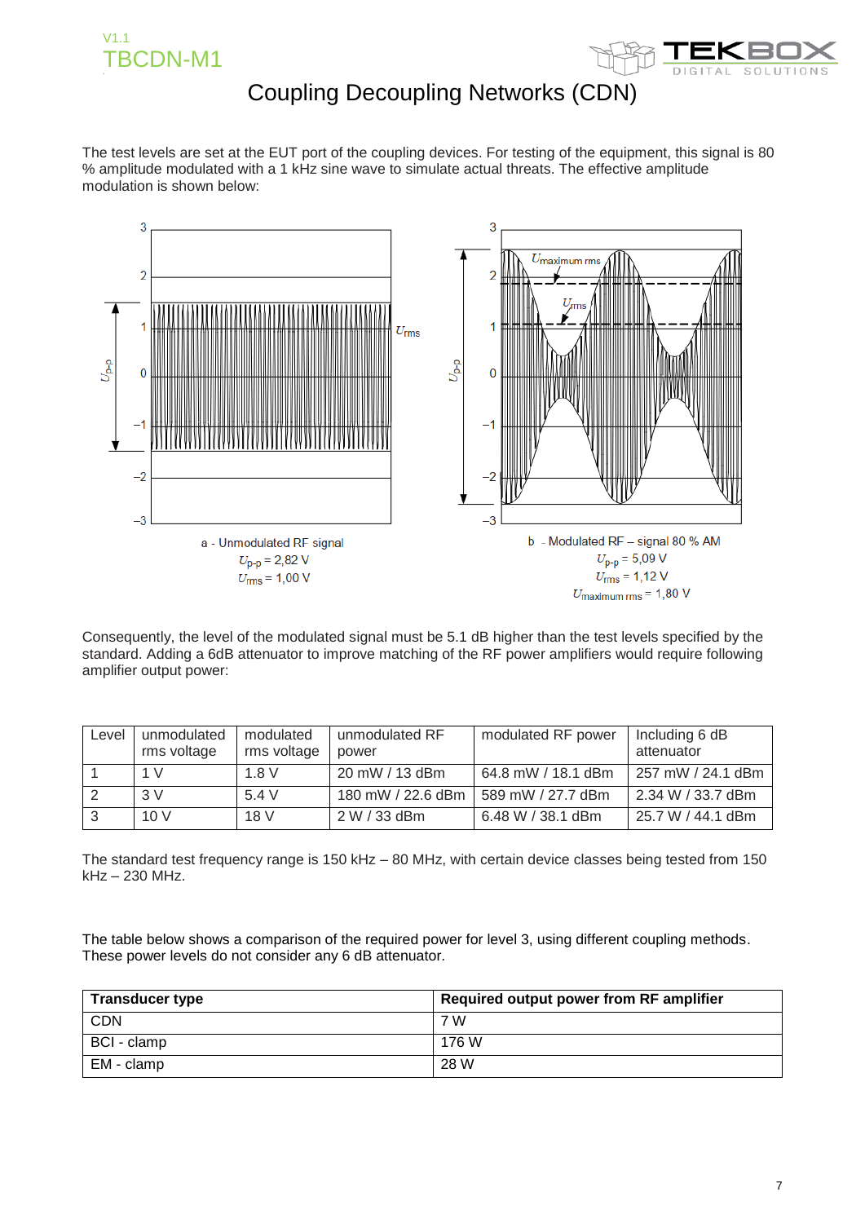



The test levels are set at the EUT port of the coupling devices. For testing of the equipment, this signal is 80 % amplitude modulated with a 1 kHz sine wave to simulate actual threats. The effective amplitude modulation is shown below:



Consequently, the level of the modulated signal must be 5.1 dB higher than the test levels specified by the standard. Adding a 6dB attenuator to improve matching of the RF power amplifiers would require following amplifier output power:

| Level | unmodulated<br>rms voltage | modulated<br>rms voltage | unmodulated RF<br>power | modulated RF power | Including 6 dB<br>attenuator |
|-------|----------------------------|--------------------------|-------------------------|--------------------|------------------------------|
|       | 1 V                        | 1.8V                     | 20 mW / 13 dBm          | 64.8 mW / 18.1 dBm | 257 mW / 24.1 dBm            |
|       | 3V                         | 5.4V                     | 180 mW / 22.6 dBm       | 589 mW / 27.7 dBm  | 2.34 W / 33.7 dBm            |
|       | 10V                        | 18 V                     | 2 W / 33 dBm            | 6.48 W / 38.1 dBm  | 25.7 W / 44.1 dBm            |

The standard test frequency range is 150 kHz – 80 MHz, with certain device classes being tested from 150 kHz – 230 MHz.

The table below shows a comparison of the required power for level 3, using different coupling methods. These power levels do not consider any 6 dB attenuator.

| <b>Transducer type</b> | Required output power from RF amplifier |
|------------------------|-----------------------------------------|
| <b>CDN</b>             | 7 W                                     |
| BCI - clamp            | 176 W                                   |
| EM - clamp             | 28 W                                    |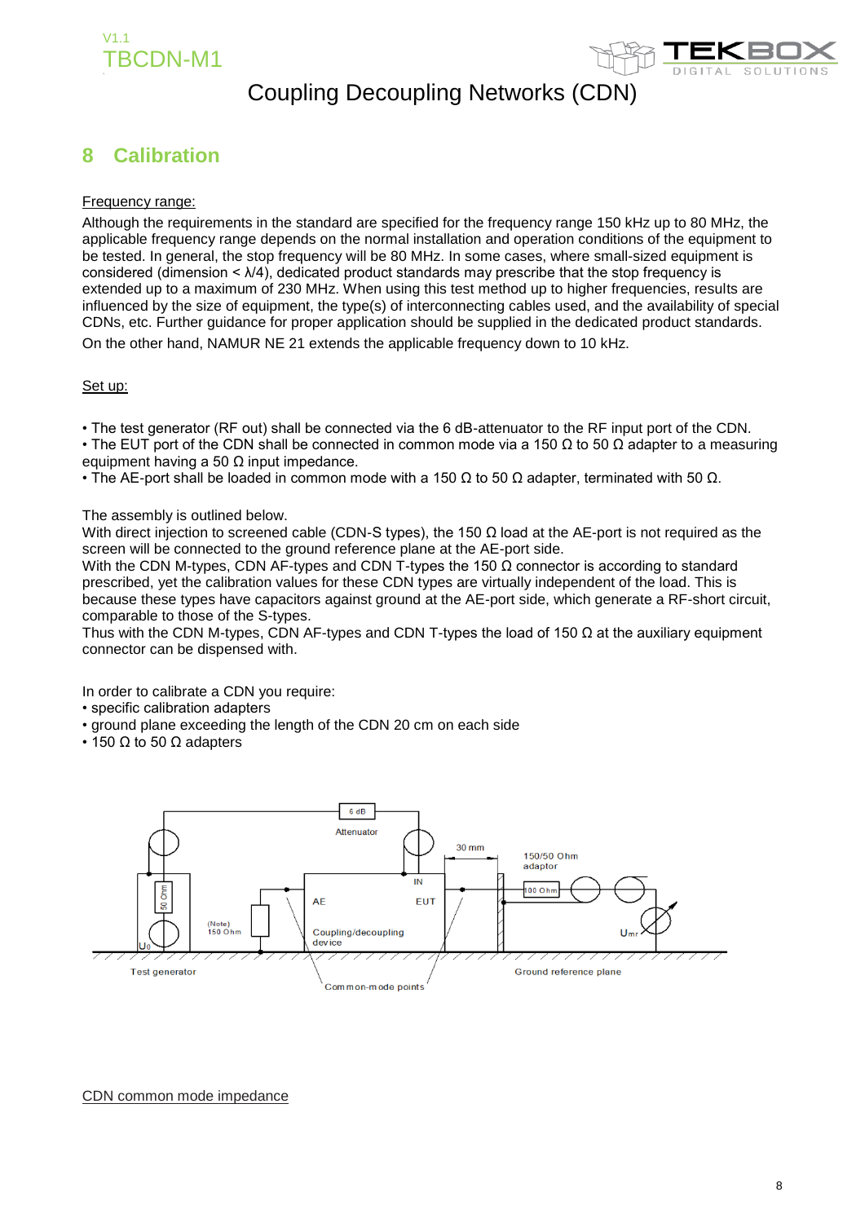



### **8 Calibration**

### Frequency range:

Although the requirements in the standard are specified for the frequency range 150 kHz up to 80 MHz, the applicable frequency range depends on the normal installation and operation conditions of the equipment to be tested. In general, the stop frequency will be 80 MHz. In some cases, where small-sized equipment is considered (dimension  $\leq \lambda/4$ ), dedicated product standards may prescribe that the stop frequency is extended up to a maximum of 230 MHz. When using this test method up to higher frequencies, results are influenced by the size of equipment, the type(s) of interconnecting cables used, and the availability of special CDNs, etc. Further guidance for proper application should be supplied in the dedicated product standards. On the other hand, NAMUR NE 21 extends the applicable frequency down to 10 kHz.

#### Set up:

• The test generator (RF out) shall be connected via the 6 dB-attenuator to the RF input port of the CDN.

• The EUT port of the CDN shall be connected in common mode via a 150  $\Omega$  to 50  $\Omega$  adapter to a measuring equipment having a 50  $\Omega$  input impedance.

• The AE-port shall be loaded in common mode with a 150  $\Omega$  to 50  $\Omega$  adapter, terminated with 50  $\Omega$ .

#### The assembly is outlined below.

With direct injection to screened cable (CDN-S types), the 150  $\Omega$  load at the AE-port is not required as the screen will be connected to the ground reference plane at the AE-port side.

With the CDN M-types, CDN AF-types and CDN T-types the 150  $\Omega$  connector is according to standard prescribed, yet the calibration values for these CDN types are virtually independent of the load. This is because these types have capacitors against ground at the AE-port side, which generate a RF-short circuit, comparable to those of the S-types.

Thus with the CDN M-types, CDN AF-types and CDN T-types the load of 150  $\Omega$  at the auxiliary equipment connector can be dispensed with.

In order to calibrate a CDN you require:

- specific calibration adapters
- ground plane exceeding the length of the CDN 20 cm on each side
- 150  $\Omega$  to 50  $\Omega$  adapters



#### CDN common mode impedance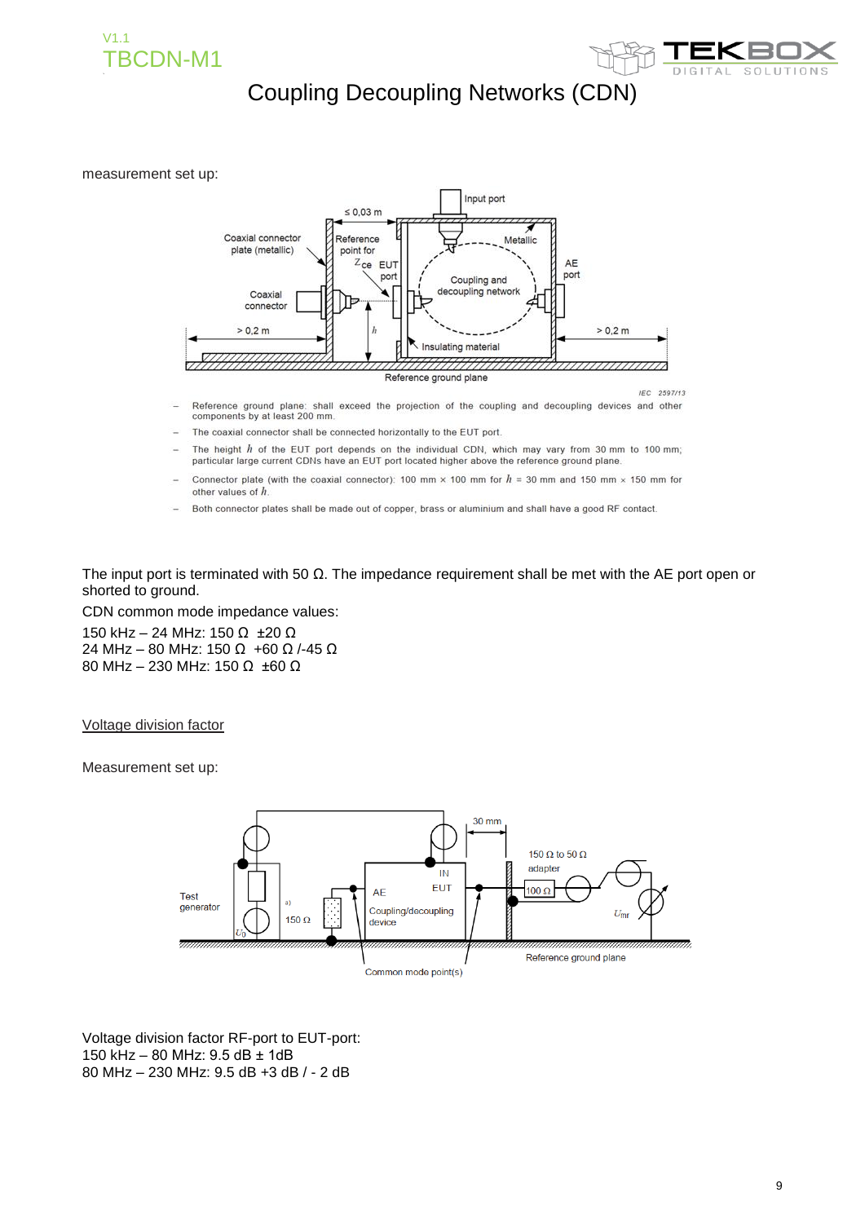



#### measurement set up:



- Reference ground plane: shall exceed the projection of the coupling and decoupling devices and other components by at least 200 mm.
- The coaxial connector shall be connected horizontally to the EUT port.
- The height  $h$  of the EUT port depends on the individual CDN, which may vary from 30 mm to 100 mm; particular large current CDNs have an EUT port located higher above the reference ground plane.
- Connector plate (with the coaxial connector): 100 mm  $\times$  100 mm for  $h = 30$  mm and 150 mm  $\times$  150 mm for other values of h.
- Both connector plates shall be made out of copper, brass or aluminium and shall have a good RF contact.

The input port is terminated with 50  $\Omega$ . The impedance requirement shall be met with the AE port open or shorted to ground.

CDN common mode impedance values:

150 kHz – 24 MHz: 150 Ω ±20 Ω 24 MHz – 80 MHz: 150 Ω +60 Ω /-45 Ω 80 MHz – 230 MHz: 150 Ω ±60 Ω

Voltage division factor

Measurement set up:



Voltage division factor RF-port to EUT-port: 150 kHz – 80 MHz: 9.5 dB ± 1dB 80 MHz – 230 MHz: 9.5 dB +3 dB / - 2 dB